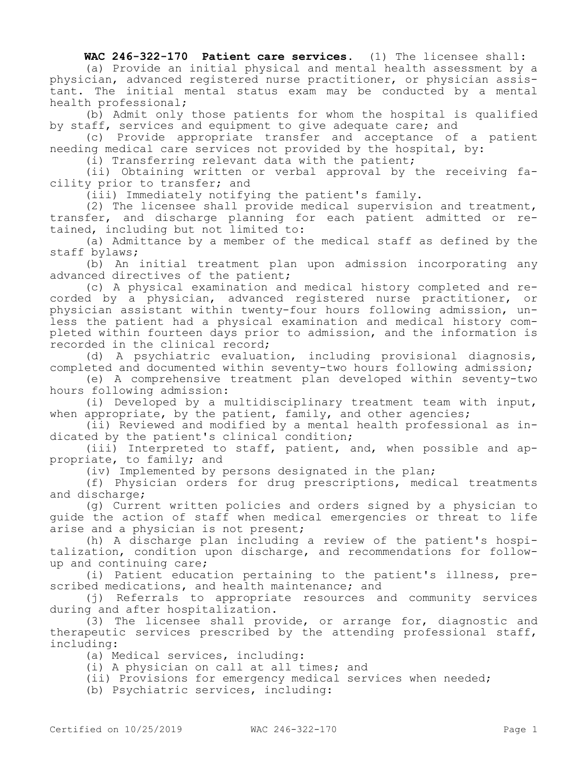**WAC 246-322-170 Patient care services.** (1) The licensee shall:

(a) Provide an initial physical and mental health assessment by a physician, advanced registered nurse practitioner, or physician assistant. The initial mental status exam may be conducted by a mental health professional;

(b) Admit only those patients for whom the hospital is qualified by staff, services and equipment to give adequate care; and

(c) Provide appropriate transfer and acceptance of a patient needing medical care services not provided by the hospital, by:

(i) Transferring relevant data with the patient;

(ii) Obtaining written or verbal approval by the receiving facility prior to transfer; and

(iii) Immediately notifying the patient's family.

(2) The licensee shall provide medical supervision and treatment, transfer, and discharge planning for each patient admitted or retained, including but not limited to:

(a) Admittance by a member of the medical staff as defined by the staff bylaws;

(b) An initial treatment plan upon admission incorporating any advanced directives of the patient;

(c) A physical examination and medical history completed and recorded by a physician, advanced registered nurse practitioner, or physician assistant within twenty-four hours following admission, unless the patient had a physical examination and medical history completed within fourteen days prior to admission, and the information is recorded in the clinical record;

(d) A psychiatric evaluation, including provisional diagnosis, completed and documented within seventy-two hours following admission;

(e) A comprehensive treatment plan developed within seventy-two hours following admission:

(i) Developed by a multidisciplinary treatment team with input, when appropriate, by the patient, family, and other agencies;

(ii) Reviewed and modified by a mental health professional as indicated by the patient's clinical condition;

(iii) Interpreted to staff, patient, and, when possible and appropriate, to family; and

(iv) Implemented by persons designated in the plan;

(f) Physician orders for drug prescriptions, medical treatments and discharge;

(g) Current written policies and orders signed by a physician to guide the action of staff when medical emergencies or threat to life arise and a physician is not present;

(h) A discharge plan including a review of the patient's hospitalization, condition upon discharge, and recommendations for followup and continuing care;

(i) Patient education pertaining to the patient's illness, prescribed medications, and health maintenance; and

(j) Referrals to appropriate resources and community services during and after hospitalization.

(3) The licensee shall provide, or arrange for, diagnostic and therapeutic services prescribed by the attending professional staff, including:

(a) Medical services, including:

(i) A physician on call at all times; and

(ii) Provisions for emergency medical services when needed;

(b) Psychiatric services, including: